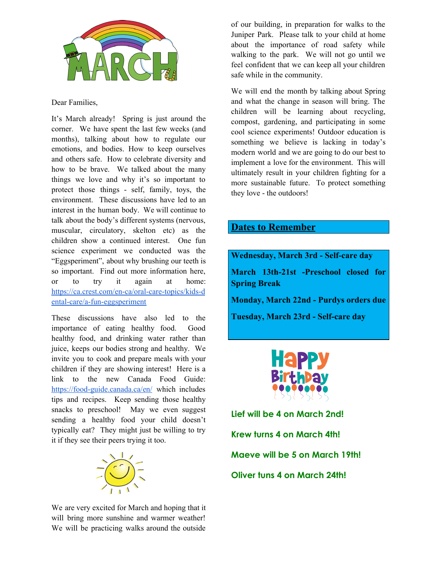

Dear Families,

It's March already! Spring is just around the corner. We have spent the last few weeks (and months), talking about how to regulate our emotions, and bodies. How to keep ourselves and others safe. How to celebrate diversity and how to be brave. We talked about the many things we love and why it's so important to protect those things - self, family, toys, the environment. These discussions have led to an interest in the human body. We will continue to talk about the body's different systems (nervous, muscular, circulatory, skelton etc) as the children show a continued interest. One fun science experiment we conducted was the "Eggsperiment", about why brushing our teeth is so important. Find out more information here, or to try it again at home: [https://ca.crest.com/en-ca/oral-care-topics/kids-d](https://ca.crest.com/en-ca/oral-care-topics/kids-dental-care/a-fun-eggsperiment) [ental-care/a-fun-eggsperiment](https://ca.crest.com/en-ca/oral-care-topics/kids-dental-care/a-fun-eggsperiment)

These discussions have also led to the importance of eating healthy food. Good healthy food, and drinking water rather than juice, keeps our bodies strong and healthy. We invite you to cook and prepare meals with your children if they are showing interest! Here is a link to the new Canada Food Guide: <https://food-guide.canada.ca/en/> which includes tips and recipes. Keep sending those healthy snacks to preschool! May we even suggest sending a healthy food your child doesn't typically eat? They might just be willing to try it if they see their peers trying it too.



We are very excited for March and hoping that it will bring more sunshine and warmer weather! We will be practicing walks around the outside

of our building, in preparation for walks to the Juniper Park. Please talk to your child at home about the importance of road safety while walking to the park. We will not go until we feel confident that we can keep all your children safe while in the community.

We will end the month by talking about Spring and what the change in season will bring. The children will be learning about recycling, compost, gardening, and participating in some cool science experiments! Outdoor education is something we believe is lacking in today's modern world and we are going to do our best to implement a love for the environment. This will ultimately result in your children fighting for a more sustainable future. To protect something they love - the outdoors!

# **Dates to Remember**

**Wednesday, March 3rd - Self-care day March 13th-21st -Preschool closed for Spring Break Monday, March 22nd - Purdys orders due Tuesday, March 23rd - Self-care day**



**Lief will be 4 on March 2nd! Krew turns 4 on March 4th! Maeve will be 5 on March 19th! Oliver tuns 4 on March 24th!**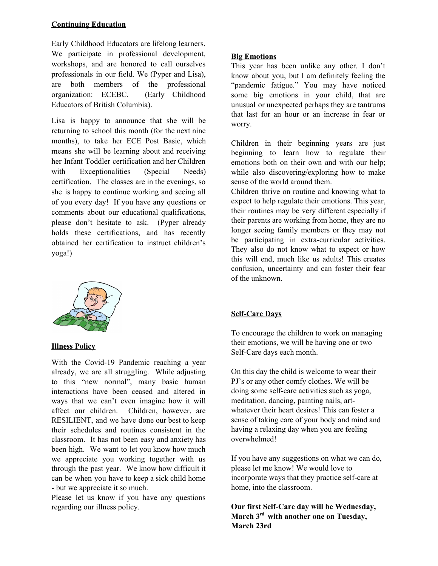Early Childhood Educators are lifelong learners. We participate in professional development, workshops, and are honored to call ourselves professionals in our field. We (Pyper and Lisa), are both members of the professional organization: ECEBC. (Early Childhood Educators of British Columbia).

Lisa is happy to announce that she will be returning to school this month (for the next nine months), to take her ECE Post Basic, which means she will be learning about and receiving her Infant Toddler certification and her Children with Exceptionalities (Special Needs) certification. The classes are in the evenings, so she is happy to continue working and seeing all of you every day! If you have any questions or comments about our educational qualifications, please don't hesitate to ask. (Pyper already holds these certifications, and has recently obtained her certification to instruct children's yoga!)



#### **Illness Policy**

With the Covid-19 Pandemic reaching a year already, we are all struggling. While adjusting to this "new normal", many basic human interactions have been ceased and altered in ways that we can't even imagine how it will affect our children. Children, however, are RESILIENT, and we have done our best to keep their schedules and routines consistent in the classroom. It has not been easy and anxiety has been high. We want to let you know how much we appreciate you working together with us through the past year. We know how difficult it can be when you have to keep a sick child home - but we appreciate it so much.

Please let us know if you have any questions regarding our illness policy.

### **Big Emotions**

This year has been unlike any other. I don't know about you, but I am definitely feeling the "pandemic fatigue." You may have noticed some big emotions in your child, that are unusual or unexpected perhaps they are tantrums that last for an hour or an increase in fear or worry.

Children in their beginning years are just beginning to learn how to regulate their emotions both on their own and with our help; while also discovering/exploring how to make sense of the world around them.

Children thrive on routine and knowing what to expect to help regulate their emotions. This year, their routines may be very different especially if their parents are working from home, they are no longer seeing family members or they may not be participating in extra-curricular activities. They also do not know what to expect or how this will end, much like us adults! This creates confusion, uncertainty and can foster their fear of the unknown.

## **Self-Care Days**

To encourage the children to work on managing their emotions, we will be having one or two Self-Care days each month.

On this day the child is welcome to wear their PJ's or any other comfy clothes. We will be doing some self-care activities such as yoga, meditation, dancing, painting nails, artwhatever their heart desires! This can foster a sense of taking care of your body and mind and having a relaxing day when you are feeling overwhelmed!

If you have any suggestions on what we can do, please let me know! We would love to incorporate ways that they practice self-care at home, into the classroom.

**Our first Self-Care day will be Wednesday, March 3 rd with another one on Tuesday, March 23rd**